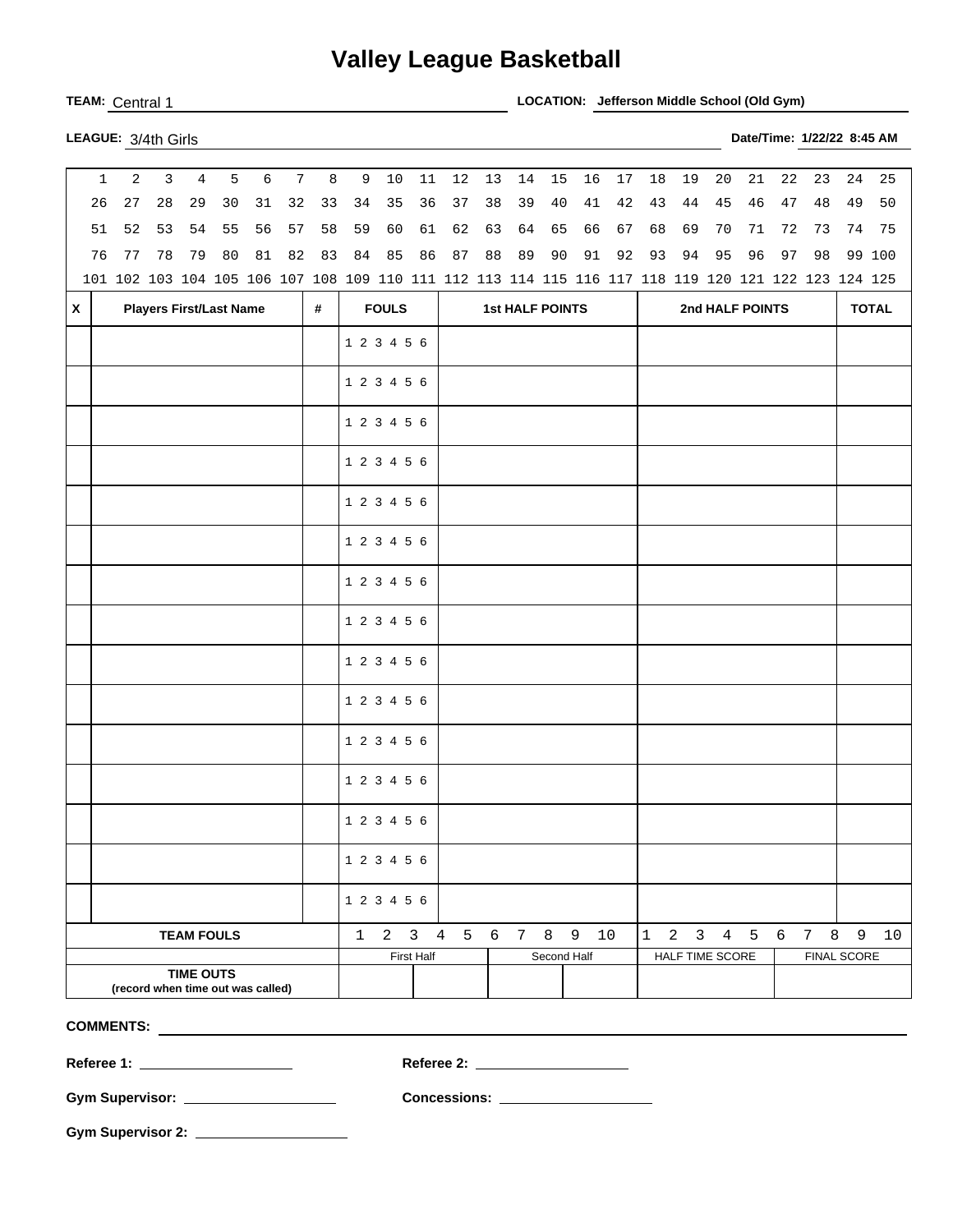## **Valley League Basketball**

**TEAM:** Central 1 **LOCATION: Jefferson Middle School (Old Gym)** 

| LEAGUE: 3/4th Girls | Date/Time: 1/22/22 8:45 AM |
|---------------------|----------------------------|
|                     |                            |

|                                   | $\mathbf{1}$                        | $\overline{a}$ | $\overline{3}$ | $\overline{4}$    | 5  | 6  | $7\phantom{.0}$ | 8                                                                                                   | $\overline{9}$ | 10 | 11                  | 12                     | 13          | 14 | 15 | 16           | 17 | 18           | 19              | 20          | 21                                  | 22 | 23  | 24             | 25     |  |
|-----------------------------------|-------------------------------------|----------------|----------------|-------------------|----|----|-----------------|-----------------------------------------------------------------------------------------------------|----------------|----|---------------------|------------------------|-------------|----|----|--------------|----|--------------|-----------------|-------------|-------------------------------------|----|-----|----------------|--------|--|
|                                   | 26                                  | 27             | 28             | 29                | 30 | 31 | 32              | 33                                                                                                  | 34             | 35 | 36                  | 37                     | 38          | 39 | 40 | 41           | 42 | 43           | 44              | 45          | 46                                  | 47 | 48  | 49             | 50     |  |
|                                   | 51                                  | 52             | 53             | 54                | 55 | 56 | 57              | 58                                                                                                  | 59             | 60 | 61                  | 62                     | 63          | 64 | 65 | 66           | 67 | 68           | 69              | 70          | 71                                  | 72 | 73  | 74             | 75     |  |
|                                   | 76                                  | 77             | 78             | 79                | 80 | 81 | 82              | 83                                                                                                  | 84             | 85 | 86                  | 87                     | 88          | 89 | 90 | 91           | 92 | 93           | 94              | 95          | 96                                  | 97 | 98  |                | 99 100 |  |
|                                   |                                     |                |                |                   |    |    |                 | 101 102 103 104 105 106 107 108 109 110 111 112 113 114 115 116 117 118 119 120 121 122 123 124 125 |                |    |                     |                        |             |    |    |              |    |              |                 |             |                                     |    |     |                |        |  |
| $\mathsf{x}$                      | <b>Players First/Last Name</b><br># |                |                |                   |    |    |                 |                                                                                                     | <b>FOULS</b>   |    |                     | <b>1st HALF POINTS</b> |             |    |    |              |    |              | 2nd HALF POINTS |             |                                     |    |     |                |        |  |
|                                   |                                     |                |                |                   |    |    |                 |                                                                                                     | 1 2 3 4 5 6    |    |                     |                        |             |    |    |              |    |              |                 |             |                                     |    |     |                |        |  |
|                                   |                                     |                |                |                   |    |    |                 |                                                                                                     |                |    |                     |                        |             |    |    |              |    |              |                 |             |                                     |    |     |                |        |  |
|                                   |                                     |                |                |                   |    |    |                 |                                                                                                     | 1 2 3 4 5 6    |    |                     |                        |             |    |    |              |    |              |                 |             |                                     |    |     |                |        |  |
|                                   |                                     |                |                |                   |    |    |                 |                                                                                                     | 1 2 3 4 5 6    |    |                     |                        |             |    |    |              |    |              |                 |             |                                     |    |     |                |        |  |
|                                   |                                     |                |                |                   |    |    |                 | 1 2 3 4 5 6                                                                                         |                |    |                     |                        |             |    |    |              |    |              |                 |             |                                     |    |     |                |        |  |
|                                   |                                     |                |                |                   |    |    |                 |                                                                                                     | 1 2 3 4 5 6    |    |                     |                        |             |    |    |              |    |              |                 |             |                                     |    |     |                |        |  |
|                                   |                                     |                |                |                   |    |    |                 |                                                                                                     | 1 2 3 4 5 6    |    |                     |                        |             |    |    |              |    |              |                 |             |                                     |    |     |                |        |  |
|                                   |                                     |                |                |                   |    |    |                 |                                                                                                     | 1 2 3 4 5 6    |    |                     |                        |             |    |    |              |    |              |                 |             |                                     |    |     |                |        |  |
|                                   |                                     |                |                |                   |    |    |                 |                                                                                                     | 1 2 3 4 5 6    |    |                     |                        |             |    |    |              |    |              |                 |             |                                     |    |     |                |        |  |
|                                   |                                     |                |                |                   |    |    |                 |                                                                                                     | 1 2 3 4 5 6    |    |                     |                        |             |    |    |              |    |              |                 |             |                                     |    |     |                |        |  |
|                                   |                                     |                |                |                   |    |    |                 |                                                                                                     | 1 2 3 4 5 6    |    |                     |                        |             |    |    |              |    |              |                 |             |                                     |    |     |                |        |  |
|                                   |                                     |                |                |                   |    |    |                 |                                                                                                     | 1 2 3 4 5 6    |    |                     |                        |             |    |    |              |    |              |                 |             |                                     |    |     |                |        |  |
|                                   |                                     |                |                |                   |    |    |                 | 1 2 3 4 5 6                                                                                         |                |    |                     |                        |             |    |    |              |    |              |                 |             |                                     |    |     |                |        |  |
|                                   |                                     |                |                |                   |    |    |                 |                                                                                                     | 1 2 3 4 5 6    |    |                     |                        |             |    |    |              |    |              |                 |             |                                     |    |     |                |        |  |
|                                   |                                     |                |                |                   |    |    |                 |                                                                                                     | 1 2 3 4 5 6    |    |                     |                        |             |    |    |              |    |              |                 |             |                                     |    |     |                |        |  |
|                                   |                                     |                |                |                   |    |    |                 |                                                                                                     | 1 2 3 4 5 6    |    |                     |                        |             |    |    |              |    |              |                 |             |                                     |    |     |                |        |  |
|                                   |                                     |                |                | <b>TEAM FOULS</b> |    |    |                 |                                                                                                     | $\mathbf{1}$   |    | $2 \quad 3 \quad 4$ |                        |             |    |    | 5 6 7 8 9 10 |    | $\mathbf{1}$ |                 |             | $2 \quad 3 \quad 4 \quad 5 \quad 6$ |    | 7 8 | $\overline{9}$ | 10     |  |
|                                   |                                     |                |                |                   |    |    |                 |                                                                                                     |                |    | First Half          |                        | Second Half |    |    |              |    |              | HALF TIME SCORE | FINAL SCORE |                                     |    |     |                |        |  |
|                                   |                                     |                |                | <b>TIME OUTS</b>  |    |    |                 |                                                                                                     |                |    |                     |                        |             |    |    |              |    |              |                 |             |                                     |    |     |                |        |  |
| (record when time out was called) |                                     |                |                |                   |    |    |                 |                                                                                                     |                |    |                     |                        |             |    |    |              |    |              |                 |             |                                     |    |     |                |        |  |

**COMMENTS:** 

**Referee 1: Referee 2:** 

**Gym Supervisor: Concessions:** 

**Gym Supervisor 2:**